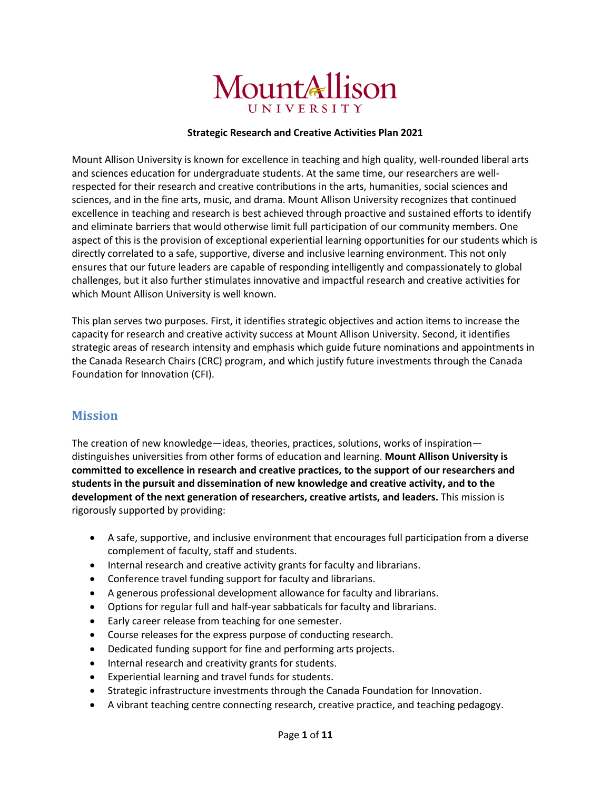# MountAllison UNIVERSITY

#### **Strategic Research and Creative Activities Plan 2021**

Mount Allison University is known for excellence in teaching and high quality, well-rounded liberal arts and sciences education for undergraduate students. At the same time, our researchers are wellrespected for their research and creative contributions in the arts, humanities, social sciences and sciences, and in the fine arts, music, and drama. Mount Allison University recognizes that continued excellence in teaching and research is best achieved through proactive and sustained efforts to identify and eliminate barriers that would otherwise limit full participation of our community members. One aspect of this is the provision of exceptional experiential learning opportunities for our students which is directly correlated to a safe, supportive, diverse and inclusive learning environment. This not only ensures that our future leaders are capable of responding intelligently and compassionately to global challenges, but it also further stimulates innovative and impactful research and creative activities for which Mount Allison University is well known.

This plan serves two purposes. First, it identifies strategic objectives and action items to increase the capacity for research and creative activity success at Mount Allison University. Second, it identifies strategic areas of research intensity and emphasis which guide future nominations and appointments in the Canada Research Chairs (CRC) program, and which justify future investments through the Canada Foundation for Innovation (CFI).

### **Mission**

The creation of new knowledge—ideas, theories, practices, solutions, works of inspiration distinguishes universities from other forms of education and learning. **Mount Allison University is committed to excellence in research and creative practices, to the support of our researchers and students in the pursuit and dissemination of new knowledge and creative activity, and to the development of the next generation of researchers, creative artists, and leaders.** This mission is rigorously supported by providing:

- A safe, supportive, and inclusive environment that encourages full participation from a diverse complement of faculty, staff and students.
- Internal research and creative activity grants for faculty and librarians.
- Conference travel funding support for faculty and librarians.
- A generous professional development allowance for faculty and librarians.
- Options for regular full and half-year sabbaticals for faculty and librarians.
- Early career release from teaching for one semester.
- Course releases for the express purpose of conducting research.
- Dedicated funding support for fine and performing arts projects.
- Internal research and creativity grants for students.
- Experiential learning and travel funds for students.
- Strategic infrastructure investments through the Canada Foundation for Innovation.
- A vibrant teaching centre connecting research, creative practice, and teaching pedagogy.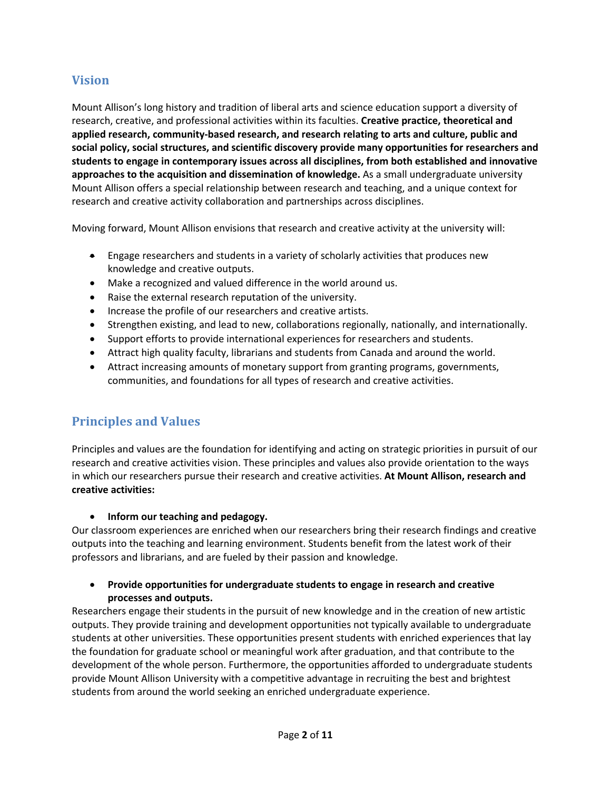## **Vision**

Mount Allison's long history and tradition of liberal arts and science education support a diversity of research, creative, and professional activities within its faculties. **Creative practice, theoretical and applied research, community-based research, and research relating to arts and culture, public and social policy, social structures, and scientific discovery provide many opportunities for researchers and students to engage in contemporary issues across all disciplines, from both established and innovative approaches to the acquisition and dissemination of knowledge.** As a small undergraduate university Mount Allison offers a special relationship between research and teaching, and a unique context for research and creative activity collaboration and partnerships across disciplines.

Moving forward, Mount Allison envisions that research and creative activity at the university will:

- Engage researchers and students in a variety of scholarly activities that produces new knowledge and creative outputs.
- Make a recognized and valued difference in the world around us.
- Raise the external research reputation of the university.
- Increase the profile of our researchers and creative artists.
- Strengthen existing, and lead to new, collaborations regionally, nationally, and internationally.
- Support efforts to provide international experiences for researchers and students.
- Attract high quality faculty, librarians and students from Canada and around the world.
- Attract increasing amounts of monetary support from granting programs, governments, communities, and foundations for all types of research and creative activities.

## **Principles and Values**

Principles and values are the foundation for identifying and acting on strategic priorities in pursuit of our research and creative activities vision. These principles and values also provide orientation to the ways in which our researchers pursue their research and creative activities. **At Mount Allison, research and creative activities:**

#### • **Inform our teaching and pedagogy.**

Our classroom experiences are enriched when our researchers bring their research findings and creative outputs into the teaching and learning environment. Students benefit from the latest work of their professors and librarians, and are fueled by their passion and knowledge.

#### • **Provide opportunities for undergraduate students to engage in research and creative processes and outputs.**

Researchers engage their students in the pursuit of new knowledge and in the creation of new artistic outputs. They provide training and development opportunities not typically available to undergraduate students at other universities. These opportunities present students with enriched experiences that lay the foundation for graduate school or meaningful work after graduation, and that contribute to the development of the whole person. Furthermore, the opportunities afforded to undergraduate students provide Mount Allison University with a competitive advantage in recruiting the best and brightest students from around the world seeking an enriched undergraduate experience.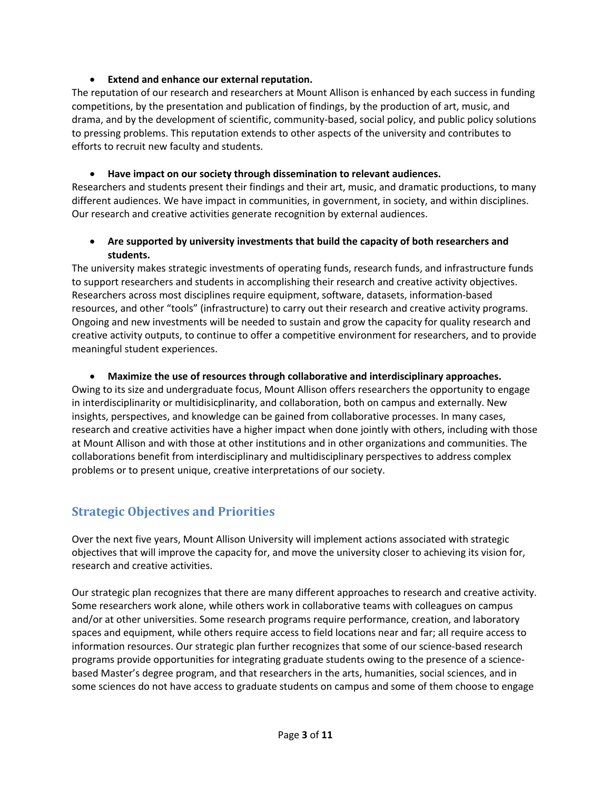#### • **Extend and enhance our external reputation.**

The reputation of our research and researchers at Mount Allison is enhanced by each success in funding competitions, by the presentation and publication of findings, by the production of art, music, and drama, and by the development of scientific, community-based, social policy, and public policy solutions to pressing problems. This reputation extends to other aspects of the university and contributes to efforts to recruit new faculty and students.

#### • **Have impact on our society through dissemination to relevant audiences.**

Researchers and students present their findings and their art, music, and dramatic productions, to many different audiences. We have impact in communities, in government, in society, and within disciplines. Our research and creative activities generate recognition by external audiences.

#### • **Are supported by university investments that build the capacity of both researchers and students.**

The university makes strategic investments of operating funds, research funds, and infrastructure funds to support researchers and students in accomplishing their research and creative activity objectives. Researchers across most disciplines require equipment, software, datasets, information-based resources, and other "tools" (infrastructure) to carry out their research and creative activity programs. Ongoing and new investments will be needed to sustain and grow the capacity for quality research and creative activity outputs, to continue to offer a competitive environment for researchers, and to provide meaningful student experiences.

#### • **Maximize the use of resources through collaborative and interdisciplinary approaches.**

Owing to its size and undergraduate focus, Mount Allison offers researchers the opportunity to engage in interdisciplinarity or multidisicplinarity, and collaboration, both on campus and externally. New insights, perspectives, and knowledge can be gained from collaborative processes. In many cases, research and creative activities have a higher impact when done jointly with others, including with those at Mount Allison and with those at other institutions and in other organizations and communities. The collaborations benefit from interdisciplinary and multidisciplinary perspectives to address complex problems or to present unique, creative interpretations of our society.

# **Strategic Objectives and Priorities**

Over the next five years, Mount Allison University will implement actions associated with strategic objectives that will improve the capacity for, and move the university closer to achieving its vision for, research and creative activities.

Our strategic plan recognizes that there are many different approaches to research and creative activity. Some researchers work alone, while others work in collaborative teams with colleagues on campus and/or at other universities. Some research programs require performance, creation, and laboratory spaces and equipment, while others require access to field locations near and far; all require access to information resources. Our strategic plan further recognizes that some of our science-based research programs provide opportunities for integrating graduate students owing to the presence of a sciencebased Master's degree program, and that researchers in the arts, humanities, social sciences, and in some sciences do not have access to graduate students on campus and some of them choose to engage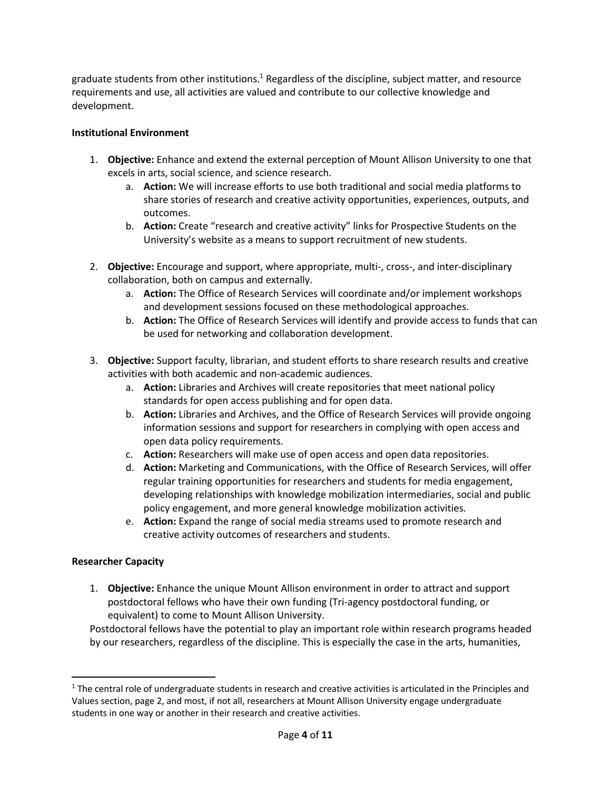graduate students from other institutions.<sup>1</sup> Regardless of the discipline, subject matter, and resource requirements and use, all activities are valued and contribute to our collective knowledge and development.

#### **Institutional Environment**

- 1. **Objective:** Enhance and extend the external perception of Mount Allison University to one that excels in arts, social science, and science research.
	- a. **Action:** We will increase efforts to use both traditional and social media platforms to share stories of research and creative activity opportunities, experiences, outputs, and outcomes.
	- b. **Action:** Create "research and creative activity" links for Prospective Students on the University's website as a means to support recruitment of new students.
- 2. **Objective:** Encourage and support, where appropriate, multi-, cross-, and inter-disciplinary collaboration, both on campus and externally.
	- a. **Action:** The Office of Research Services will coordinate and/or implement workshops and development sessions focused on these methodological approaches.
	- b. **Action:** The Office of Research Services will identify and provide access to funds that can be used for networking and collaboration development.
- 3. **Objective:** Support faculty, librarian, and student efforts to share research results and creative activities with both academic and non-academic audiences.
	- a. **Action:** Libraries and Archives will create repositories that meet national policy standards for open access publishing and for open data.
	- b. **Action:** Libraries and Archives, and the Office of Research Services will provide ongoing information sessions and support for researchers in complying with open access and open data policy requirements.
	- c. **Action:** Researchers will make use of open access and open data repositories.
	- d. **Action:** Marketing and Communications, with the Office of Research Services, will offer regular training opportunities for researchers and students for media engagement, developing relationships with knowledge mobilization intermediaries, social and public policy engagement, and more general knowledge mobilization activities.
	- e. **Action:** Expand the range of social media streams used to promote research and creative activity outcomes of researchers and students.

#### **Researcher Capacity**

1. **Objective:** Enhance the unique Mount Allison environment in order to attract and support postdoctoral fellows who have their own funding (Tri-agency postdoctoral funding, or equivalent) to come to Mount Allison University.

Postdoctoral fellows have the potential to play an important role within research programs headed by our researchers, regardless of the discipline. This is especially the case in the arts, humanities,

 $1$  The central role of undergraduate students in research and creative activities is articulated in the Principles and Values section, page 2, and most, if not all, researchers at Mount Allison University engage undergraduate students in one way or another in their research and creative activities.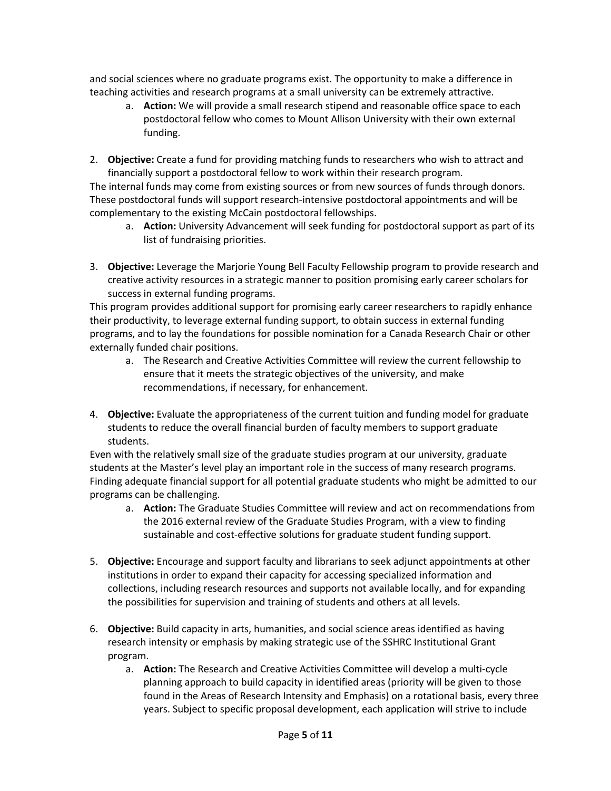and social sciences where no graduate programs exist. The opportunity to make a difference in teaching activities and research programs at a small university can be extremely attractive.

- a. **Action:** We will provide a small research stipend and reasonable office space to each postdoctoral fellow who comes to Mount Allison University with their own external funding.
- 2. **Objective:** Create a fund for providing matching funds to researchers who wish to attract and financially support a postdoctoral fellow to work within their research program.

The internal funds may come from existing sources or from new sources of funds through donors. These postdoctoral funds will support research-intensive postdoctoral appointments and will be complementary to the existing McCain postdoctoral fellowships.

- a. **Action:** University Advancement will seek funding for postdoctoral support as part of its list of fundraising priorities.
- 3. **Objective:** Leverage the Marjorie Young Bell Faculty Fellowship program to provide research and creative activity resources in a strategic manner to position promising early career scholars for success in external funding programs.

This program provides additional support for promising early career researchers to rapidly enhance their productivity, to leverage external funding support, to obtain success in external funding programs, and to lay the foundations for possible nomination for a Canada Research Chair or other externally funded chair positions.

- a. The Research and Creative Activities Committee will review the current fellowship to ensure that it meets the strategic objectives of the university, and make recommendations, if necessary, for enhancement.
- 4. **Objective:** Evaluate the appropriateness of the current tuition and funding model for graduate students to reduce the overall financial burden of faculty members to support graduate students.

Even with the relatively small size of the graduate studies program at our university, graduate students at the Master's level play an important role in the success of many research programs. Finding adequate financial support for all potential graduate students who might be admitted to our programs can be challenging.

- a. **Action:** The Graduate Studies Committee will review and act on recommendations from the 2016 external review of the Graduate Studies Program, with a view to finding sustainable and cost-effective solutions for graduate student funding support.
- 5. **Objective:** Encourage and support faculty and librarians to seek adjunct appointments at other institutions in order to expand their capacity for accessing specialized information and collections, including research resources and supports not available locally, and for expanding the possibilities for supervision and training of students and others at all levels.
- 6. **Objective:** Build capacity in arts, humanities, and social science areas identified as having research intensity or emphasis by making strategic use of the SSHRC Institutional Grant program.
	- a. **Action:** The Research and Creative Activities Committee will develop a multi-cycle planning approach to build capacity in identified areas (priority will be given to those found in the Areas of Research Intensity and Emphasis) on a rotational basis, every three years. Subject to specific proposal development, each application will strive to include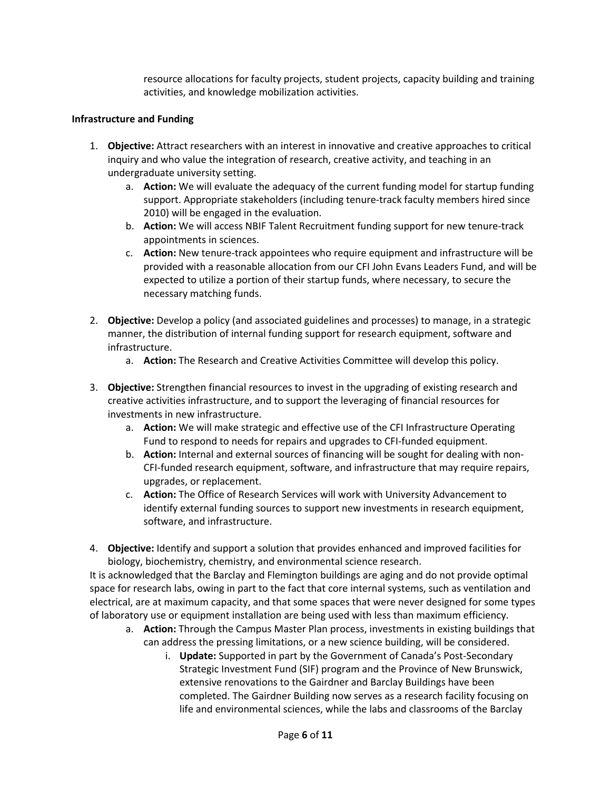resource allocations for faculty projects, student projects, capacity building and training activities, and knowledge mobilization activities.

#### **Infrastructure and Funding**

- 1. **Objective:** Attract researchers with an interest in innovative and creative approaches to critical inquiry and who value the integration of research, creative activity, and teaching in an undergraduate university setting.
	- a. **Action:** We will evaluate the adequacy of the current funding model for startup funding support. Appropriate stakeholders (including tenure-track faculty members hired since 2010) will be engaged in the evaluation.
	- b. **Action:** We will access NBIF Talent Recruitment funding support for new tenure-track appointments in sciences.
	- c. **Action:** New tenure-track appointees who require equipment and infrastructure will be provided with a reasonable allocation from our CFI John Evans Leaders Fund, and will be expected to utilize a portion of their startup funds, where necessary, to secure the necessary matching funds.
- 2. **Objective:** Develop a policy (and associated guidelines and processes) to manage, in a strategic manner, the distribution of internal funding support for research equipment, software and infrastructure.
	- a. **Action:** The Research and Creative Activities Committee will develop this policy.
- 3. **Objective:** Strengthen financial resources to invest in the upgrading of existing research and creative activities infrastructure, and to support the leveraging of financial resources for investments in new infrastructure.
	- a. **Action:** We will make strategic and effective use of the CFI Infrastructure Operating Fund to respond to needs for repairs and upgrades to CFI-funded equipment.
	- b. **Action:** Internal and external sources of financing will be sought for dealing with non-CFI-funded research equipment, software, and infrastructure that may require repairs, upgrades, or replacement.
	- c. **Action:** The Office of Research Services will work with University Advancement to identify external funding sources to support new investments in research equipment, software, and infrastructure.
- 4. **Objective:** Identify and support a solution that provides enhanced and improved facilities for biology, biochemistry, chemistry, and environmental science research.

It is acknowledged that the Barclay and Flemington buildings are aging and do not provide optimal space for research labs, owing in part to the fact that core internal systems, such as ventilation and electrical, are at maximum capacity, and that some spaces that were never designed for some types of laboratory use or equipment installation are being used with less than maximum efficiency.

- a. **Action:** Through the Campus Master Plan process, investments in existing buildings that can address the pressing limitations, or a new science building, will be considered.
	- i. **Update:** Supported in part by the Government of Canada's Post-Secondary Strategic Investment Fund (SIF) program and the Province of New Brunswick, extensive renovations to the Gairdner and Barclay Buildings have been completed. The Gairdner Building now serves as a research facility focusing on life and environmental sciences, while the labs and classrooms of the Barclay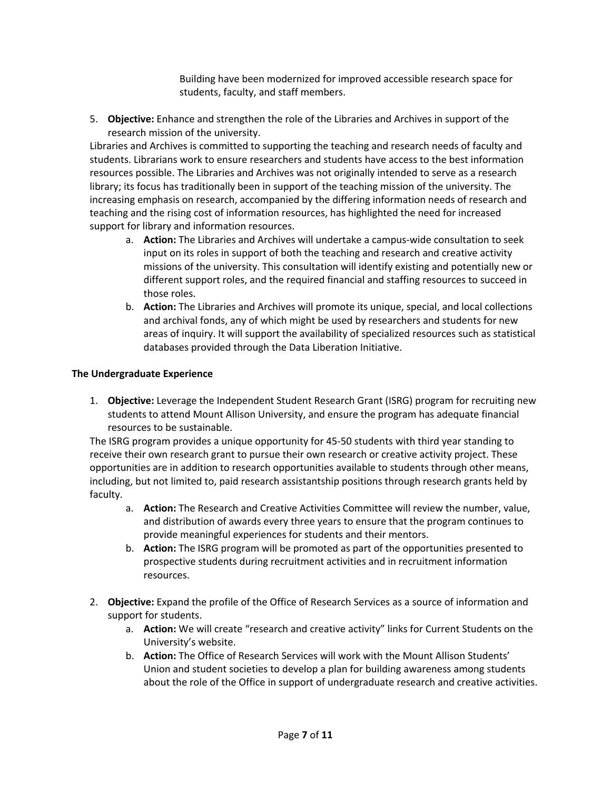Building have been modernized for improved accessible research space for students, faculty, and staff members.

5. **Objective:** Enhance and strengthen the role of the Libraries and Archives in support of the research mission of the university.

Libraries and Archives is committed to supporting the teaching and research needs of faculty and students. Librarians work to ensure researchers and students have access to the best information resources possible. The Libraries and Archives was not originally intended to serve as a research library; its focus has traditionally been in support of the teaching mission of the university. The increasing emphasis on research, accompanied by the differing information needs of research and teaching and the rising cost of information resources, has highlighted the need for increased support for library and information resources.

- a. **Action:** The Libraries and Archives will undertake a campus-wide consultation to seek input on its roles in support of both the teaching and research and creative activity missions of the university. This consultation will identify existing and potentially new or different support roles, and the required financial and staffing resources to succeed in those roles.
- b. **Action:** The Libraries and Archives will promote its unique, special, and local collections and archival fonds, any of which might be used by researchers and students for new areas of inquiry. It will support the availability of specialized resources such as statistical databases provided through the Data Liberation Initiative.

#### **The Undergraduate Experience**

1. **Objective:** Leverage the Independent Student Research Grant (ISRG) program for recruiting new students to attend Mount Allison University, and ensure the program has adequate financial resources to be sustainable.

The ISRG program provides a unique opportunity for 45-50 students with third year standing to receive their own research grant to pursue their own research or creative activity project. These opportunities are in addition to research opportunities available to students through other means, including, but not limited to, paid research assistantship positions through research grants held by faculty.

- a. **Action:** The Research and Creative Activities Committee will review the number, value, and distribution of awards every three years to ensure that the program continues to provide meaningful experiences for students and their mentors.
- b. **Action:** The ISRG program will be promoted as part of the opportunities presented to prospective students during recruitment activities and in recruitment information resources.
- 2. **Objective:** Expand the profile of the Office of Research Services as a source of information and support for students.
	- a. **Action:** We will create "research and creative activity" links for Current Students on the University's website.
	- b. **Action:** The Office of Research Services will work with the Mount Allison Students' Union and student societies to develop a plan for building awareness among students about the role of the Office in support of undergraduate research and creative activities.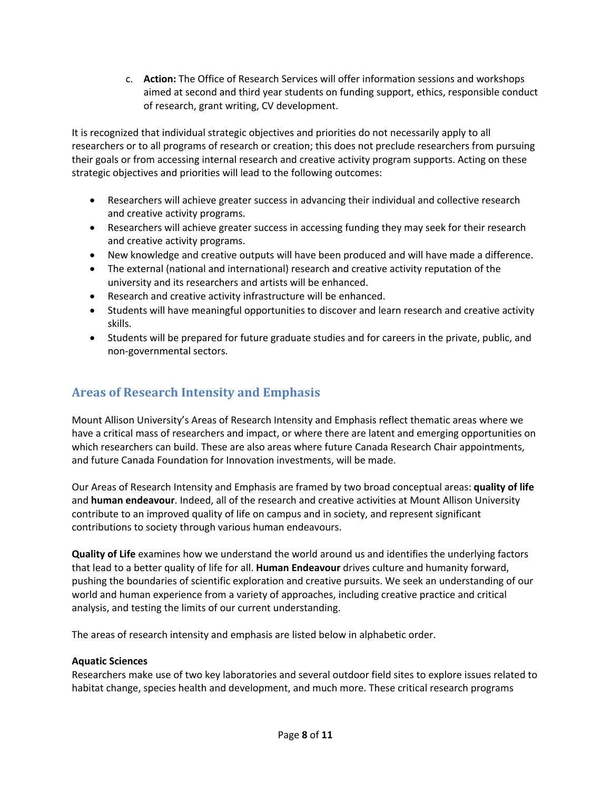c. **Action:** The Office of Research Services will offer information sessions and workshops aimed at second and third year students on funding support, ethics, responsible conduct of research, grant writing, CV development.

It is recognized that individual strategic objectives and priorities do not necessarily apply to all researchers or to all programs of research or creation; this does not preclude researchers from pursuing their goals or from accessing internal research and creative activity program supports. Acting on these strategic objectives and priorities will lead to the following outcomes:

- Researchers will achieve greater success in advancing their individual and collective research and creative activity programs.
- Researchers will achieve greater success in accessing funding they may seek for their research and creative activity programs.
- New knowledge and creative outputs will have been produced and will have made a difference.
- The external (national and international) research and creative activity reputation of the university and its researchers and artists will be enhanced.
- Research and creative activity infrastructure will be enhanced.
- Students will have meaningful opportunities to discover and learn research and creative activity skills.
- Students will be prepared for future graduate studies and for careers in the private, public, and non-governmental sectors.

# **Areas of Research Intensity and Emphasis**

Mount Allison University's Areas of Research Intensity and Emphasis reflect thematic areas where we have a critical mass of researchers and impact, or where there are latent and emerging opportunities on which researchers can build. These are also areas where future Canada Research Chair appointments, and future Canada Foundation for Innovation investments, will be made.

Our Areas of Research Intensity and Emphasis are framed by two broad conceptual areas: **quality of life** and **human endeavour**. Indeed, all of the research and creative activities at Mount Allison University contribute to an improved quality of life on campus and in society, and represent significant contributions to society through various human endeavours.

**Quality of Life** examines how we understand the world around us and identifies the underlying factors that lead to a better quality of life for all. **Human Endeavour** drives culture and humanity forward, pushing the boundaries of scientific exploration and creative pursuits. We seek an understanding of our world and human experience from a variety of approaches, including creative practice and critical analysis, and testing the limits of our current understanding.

The areas of research intensity and emphasis are listed below in alphabetic order.

#### **Aquatic Sciences**

Researchers make use of two key laboratories and several outdoor field sites to explore issues related to habitat change, species health and development, and much more. These critical research programs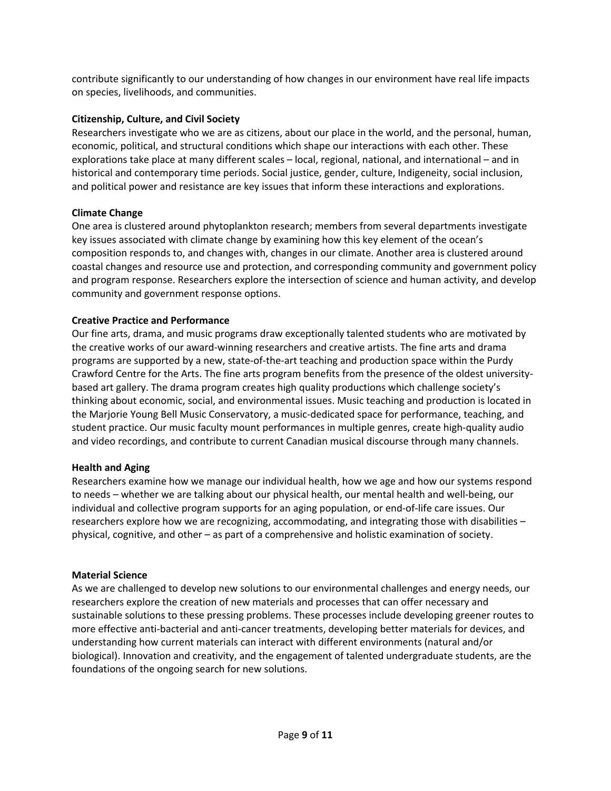contribute significantly to our understanding of how changes in our environment have real life impacts on species, livelihoods, and communities.

#### **Citizenship, Culture, and Civil Society**

Researchers investigate who we are as citizens, about our place in the world, and the personal, human, economic, political, and structural conditions which shape our interactions with each other. These explorations take place at many different scales – local, regional, national, and international – and in historical and contemporary time periods. Social justice, gender, culture, Indigeneity, social inclusion, and political power and resistance are key issues that inform these interactions and explorations.

#### **Climate Change**

One area is clustered around phytoplankton research; members from several departments investigate key issues associated with climate change by examining how this key element of the ocean's composition responds to, and changes with, changes in our climate. Another area is clustered around coastal changes and resource use and protection, and corresponding community and government policy and program response. Researchers explore the intersection of science and human activity, and develop community and government response options.

#### **Creative Practice and Performance**

Our fine arts, drama, and music programs draw exceptionally talented students who are motivated by the creative works of our award-winning researchers and creative artists. The fine arts and drama programs are supported by a new, state-of-the-art teaching and production space within the Purdy Crawford Centre for the Arts. The fine arts program benefits from the presence of the oldest universitybased art gallery. The drama program creates high quality productions which challenge society's thinking about economic, social, and environmental issues. Music teaching and production is located in the Marjorie Young Bell Music Conservatory, a music-dedicated space for performance, teaching, and student practice. Our music faculty mount performances in multiple genres, create high-quality audio and video recordings, and contribute to current Canadian musical discourse through many channels.

#### **Health and Aging**

Researchers examine how we manage our individual health, how we age and how our systems respond to needs – whether we are talking about our physical health, our mental health and well-being, our individual and collective program supports for an aging population, or end-of-life care issues. Our researchers explore how we are recognizing, accommodating, and integrating those with disabilities – physical, cognitive, and other – as part of a comprehensive and holistic examination of society.

#### **Material Science**

As we are challenged to develop new solutions to our environmental challenges and energy needs, our researchers explore the creation of new materials and processes that can offer necessary and sustainable solutions to these pressing problems. These processes include developing greener routes to more effective anti-bacterial and anti-cancer treatments, developing better materials for devices, and understanding how current materials can interact with different environments (natural and/or biological). Innovation and creativity, and the engagement of talented undergraduate students, are the foundations of the ongoing search for new solutions.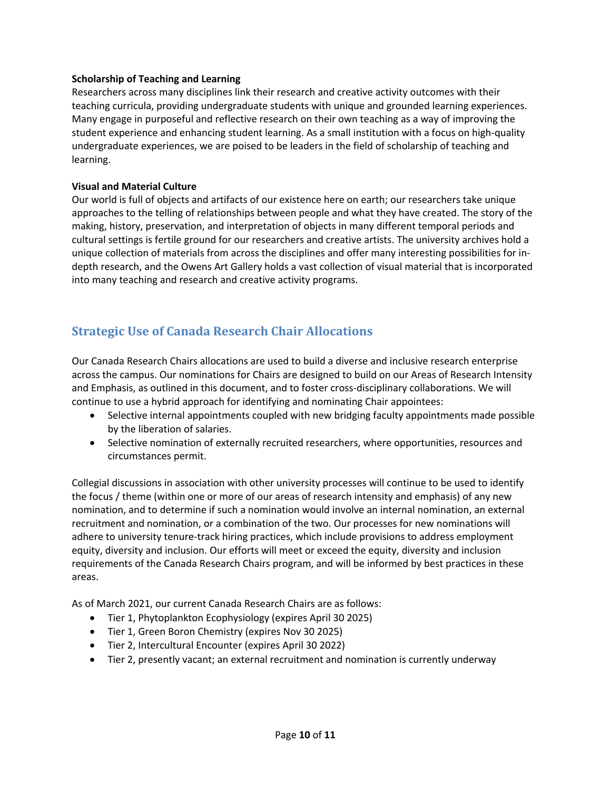#### **Scholarship of Teaching and Learning**

Researchers across many disciplines link their research and creative activity outcomes with their teaching curricula, providing undergraduate students with unique and grounded learning experiences. Many engage in purposeful and reflective research on their own teaching as a way of improving the student experience and enhancing student learning. As a small institution with a focus on high-quality undergraduate experiences, we are poised to be leaders in the field of scholarship of teaching and learning.

#### **Visual and Material Culture**

Our world is full of objects and artifacts of our existence here on earth; our researchers take unique approaches to the telling of relationships between people and what they have created. The story of the making, history, preservation, and interpretation of objects in many different temporal periods and cultural settings is fertile ground for our researchers and creative artists. The university archives hold a unique collection of materials from across the disciplines and offer many interesting possibilities for indepth research, and the Owens Art Gallery holds a vast collection of visual material that is incorporated into many teaching and research and creative activity programs.

# **Strategic Use of Canada Research Chair Allocations**

Our Canada Research Chairs allocations are used to build a diverse and inclusive research enterprise across the campus. Our nominations for Chairs are designed to build on our Areas of Research Intensity and Emphasis, as outlined in this document, and to foster cross-disciplinary collaborations. We will continue to use a hybrid approach for identifying and nominating Chair appointees:

- Selective internal appointments coupled with new bridging faculty appointments made possible by the liberation of salaries.
- Selective nomination of externally recruited researchers, where opportunities, resources and circumstances permit.

Collegial discussions in association with other university processes will continue to be used to identify the focus / theme (within one or more of our areas of research intensity and emphasis) of any new nomination, and to determine if such a nomination would involve an internal nomination, an external recruitment and nomination, or a combination of the two. Our processes for new nominations will adhere to university tenure-track hiring practices, which include provisions to address employment equity, diversity and inclusion. Our efforts will meet or exceed the equity, diversity and inclusion requirements of the Canada Research Chairs program, and will be informed by best practices in these areas.

As of March 2021, our current Canada Research Chairs are as follows:

- Tier 1, Phytoplankton Ecophysiology (expires April 30 2025)
- Tier 1, Green Boron Chemistry (expires Nov 30 2025)
- Tier 2, Intercultural Encounter (expires April 30 2022)
- Tier 2, presently vacant; an external recruitment and nomination is currently underway